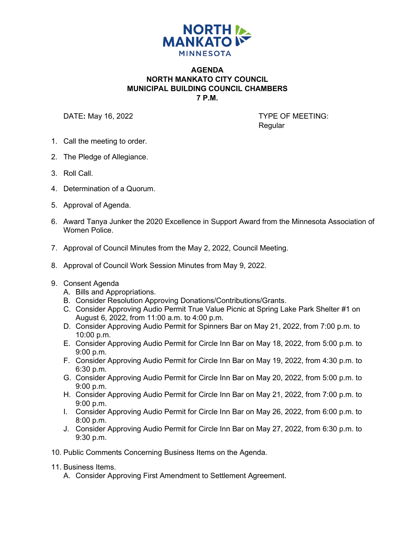

## **AGENDA NORTH MANKATO CITY COUNCIL MUNICIPAL BUILDING COUNCIL CHAMBERS 7 P.M.**

DATE: May 16, 2022 **TYPE OF MEETING:** 

Regular

- 1. Call the meeting to order.
- 2. The Pledge of Allegiance.
- 3. Roll Call.
- 4. Determination of a Quorum.
- 5. Approval of Agenda.
- 6. Award Tanya Junker the 2020 Excellence in Support Award from the Minnesota Association of Women Police.
- 7. Approval of Council Minutes from the May 2, 2022, Council Meeting.
- 8. Approval of Council Work Session Minutes from May 9, 2022.
- 9. Consent Agenda
	- A. Bills and Appropriations.
	- B. Consider Resolution Approving Donations/Contributions/Grants.
	- C. Consider Approving Audio Permit True Value Picnic at Spring Lake Park Shelter #1 on August 6, 2022, from 11:00 a.m. to 4:00 p.m.
	- D. Consider Approving Audio Permit for Spinners Bar on May 21, 2022, from 7:00 p.m. to 10:00 p.m.
	- E. Consider Approving Audio Permit for Circle Inn Bar on May 18, 2022, from 5:00 p.m. to 9:00 p.m.
	- F. Consider Approving Audio Permit for Circle Inn Bar on May 19, 2022, from 4:30 p.m. to 6:30 p.m.
	- G. Consider Approving Audio Permit for Circle Inn Bar on May 20, 2022, from 5:00 p.m. to 9:00 p.m.
	- H. Consider Approving Audio Permit for Circle Inn Bar on May 21, 2022, from 7:00 p.m. to 9:00 p.m.
	- I. Consider Approving Audio Permit for Circle Inn Bar on May 26, 2022, from 6:00 p.m. to 8:00 p.m.
	- J. Consider Approving Audio Permit for Circle Inn Bar on May 27, 2022, from 6:30 p.m. to 9:30 p.m.
- 10. Public Comments Concerning Business Items on the Agenda.
- 11. Business Items.
	- A. Consider Approving First Amendment to Settlement Agreement.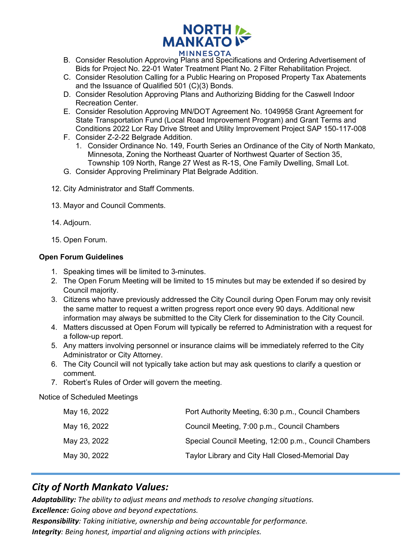

- B. Consider Resolution Approving Plans and Specifications and Ordering Advertisement of Bids for Project No. 22-01 Water Treatment Plant No. 2 Filter Rehabilitation Project.
- C. Consider Resolution Calling for a Public Hearing on Proposed Property Tax Abatements and the Issuance of Qualified 501 (C)(3) Bonds.
- D. Consider Resolution Approving Plans and Authorizing Bidding for the Caswell Indoor Recreation Center.
- E. Consider Resolution Approving MN/DOT Agreement No. 1049958 Grant Agreement for State Transportation Fund (Local Road Improvement Program) and Grant Terms and Conditions 2022 Lor Ray Drive Street and Utility Improvement Project SAP 150-117-008
- F. Consider Z-2-22 Belgrade Addition.
	- 1. Consider Ordinance No. 149, Fourth Series an Ordinance of the City of North Mankato, Minnesota, Zoning the Northeast Quarter of Northwest Quarter of Section 35, Township 109 North, Range 27 West as R-1S, One Family Dwelling, Small Lot.
- G. Consider Approving Preliminary Plat Belgrade Addition.
- 12. City Administrator and Staff Comments.
- 13. Mayor and Council Comments.
- 14. Adjourn.
- 15. Open Forum.

## **Open Forum Guidelines**

- 1. Speaking times will be limited to 3-minutes.
- 2. The Open Forum Meeting will be limited to 15 minutes but may be extended if so desired by Council majority.
- 3. Citizens who have previously addressed the City Council during Open Forum may only revisit the same matter to request a written progress report once every 90 days. Additional new information may always be submitted to the City Clerk for dissemination to the City Council.
- 4. Matters discussed at Open Forum will typically be referred to Administration with a request for a follow-up report.
- 5. Any matters involving personnel or insurance claims will be immediately referred to the City Administrator or City Attorney.
- 6. The City Council will not typically take action but may ask questions to clarify a question or comment.
- 7. Robert's Rules of Order will govern the meeting.

Notice of Scheduled Meetings

| May 16, 2022 | Port Authority Meeting, 6:30 p.m., Council Chambers   |
|--------------|-------------------------------------------------------|
| May 16, 2022 | Council Meeting, 7:00 p.m., Council Chambers          |
| May 23, 2022 | Special Council Meeting, 12:00 p.m., Council Chambers |
| May 30, 2022 | Taylor Library and City Hall Closed-Memorial Day      |
|              |                                                       |

## *City of North Mankato Values:*

*Adaptability: The ability to adjust means and methods to resolve changing situations. Excellence: Going above and beyond expectations.* 

*Responsibility: Taking initiative, ownership and being accountable for performance.*

*Integrity: Being honest, impartial and aligning actions with principles.*